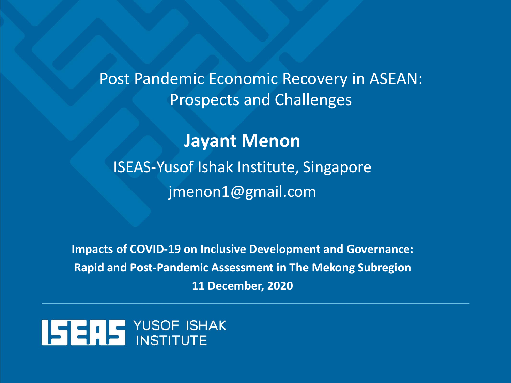Post Pandemic Economic Recovery in ASEAN: Prospects and Challenges

**Jayant Menon** ISEAS-Yusof Ishak Institute, Singapore jmenon1@gmail.com

**Impacts of COVID-19 on Inclusive Development and Governance: Rapid and Post-Pandemic Assessment in The Mekong Subregion 11 December, 2020**

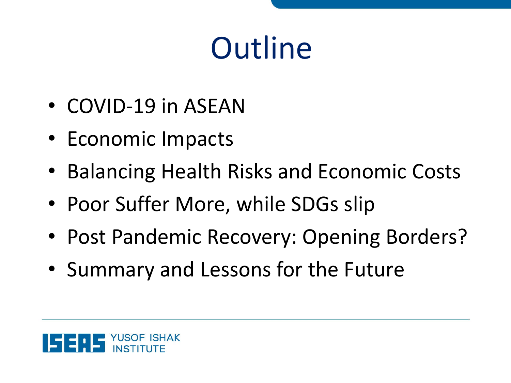# **Outline**

- COVID-19 in ASEAN
- Economic Impacts
- Balancing Health Risks and Economic Costs
- Poor Suffer More, while SDGs slip
- Post Pandemic Recovery: Opening Borders?
- Summary and Lessons for the Future

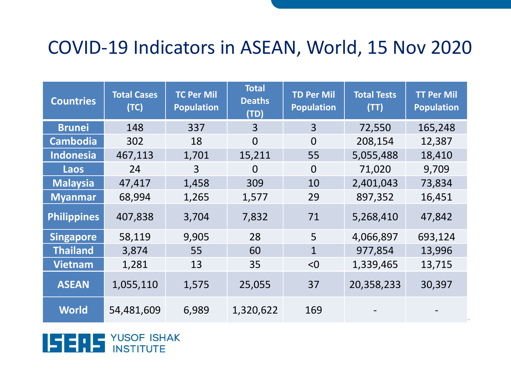#### COVID-19 Indicators in ASEAN, World, 15 Nov 2020

| <b>Countries</b>   | <b>Total Cases</b><br>(TC) | <b>TC Per Mil</b><br><b>Population</b> | Total<br><b>Deaths</b><br>(TD) | <b>TD Per Mil</b><br><b>Population</b> | <b>Total Tests</b><br>(TT) | <b>TT Per Mil</b><br><b>Population</b> |
|--------------------|----------------------------|----------------------------------------|--------------------------------|----------------------------------------|----------------------------|----------------------------------------|
| <b>Brunei</b>      | 148                        | 337                                    | 3                              | $\overline{3}$                         | 72,550                     | 165,248                                |
| <b>Cambodia</b>    | 302                        | 18                                     | $\Omega$                       | $\overline{0}$                         | 208,154                    | 12,387                                 |
| <b>Indonesia</b>   | 467,113                    | 1,701                                  | 15,211                         | 55                                     | 5,055,488                  | 18,410                                 |
| Laos               | 24                         | 3                                      | 0                              | $\overline{0}$                         | 71,020                     | 9,709                                  |
| <b>Malaysia</b>    | 47,417                     | 1,458                                  | 309                            | 10                                     | 2,401,043                  | 73,834                                 |
| <b>Myanmar</b>     | 68,994                     | 1,265                                  | 1,577                          | 29                                     | 897,352                    | 16,451                                 |
| <b>Philippines</b> | 407,838                    | 3,704                                  | 7,832                          | 71                                     | 5,268,410                  | 47,842                                 |
| <b>Singapore</b>   | 58,119                     | 9,905                                  | 28                             | 5                                      | 4,066,897                  | 693,124                                |
| <b>Thailand</b>    | 3,874                      | 55                                     | 60                             | $\mathbf{1}$                           | 977,854                    | 13,996                                 |
| <b>Vietnam</b>     | 1,281                      | 13                                     | 35                             | < 0                                    | 1,339,465                  | 13,715                                 |
| <b>ASEAN</b>       | 1,055,110                  | 1,575                                  | 25,055                         | 37                                     | 20,358,233                 | 30,397                                 |
| <b>World</b>       | 54,481,609                 | 6,989                                  | 1,320,622                      | 169                                    |                            |                                        |

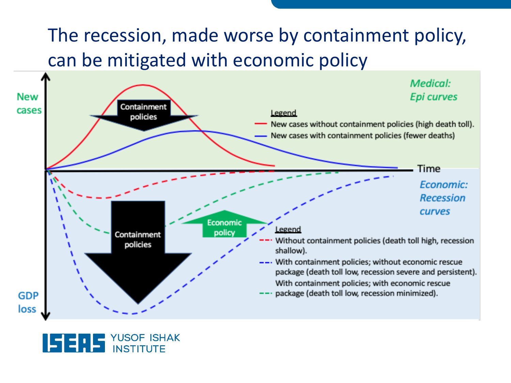#### The recession, made worse by containment policy, can be mitigated with economic policy



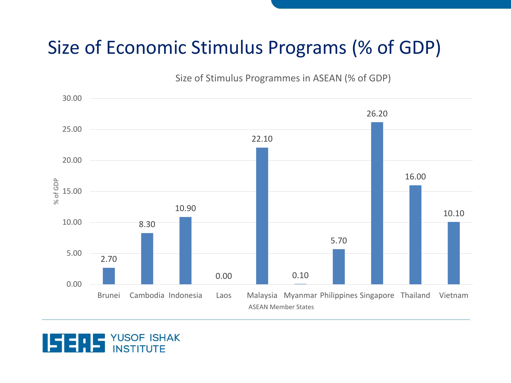#### Size of Economic Stimulus Programs (% of GDP)

Size of Stimulus Programmes in ASEAN (% of GDP)



**YUSOF ISHAK**<br>INSTITUTE

ISE LE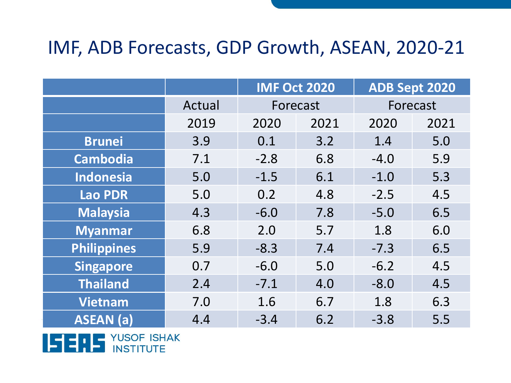#### IMF, ADB Forecasts, GDP Growth, ASEAN, 2020-21

|                    |        | <b>IMF Oct 2020</b> |      | ADB Sept 2020 |      |
|--------------------|--------|---------------------|------|---------------|------|
|                    | Actual | Forecast            |      | Forecast      |      |
|                    | 2019   | 2020                | 2021 | 2020          | 2021 |
| <b>Brunei</b>      | 3.9    | 0.1                 | 3.2  | 1.4           | 5.0  |
| <b>Cambodia</b>    | 7.1    | $-2.8$              | 6.8  | $-4.0$        | 5.9  |
| <b>Indonesia</b>   | 5.0    | $-1.5$              | 6.1  | $-1.0$        | 5.3  |
| <b>Lao PDR</b>     | 5.0    | 0.2                 | 4.8  | $-2.5$        | 4.5  |
| <b>Malaysia</b>    | 4.3    | $-6.0$              | 7.8  | $-5.0$        | 6.5  |
| <b>Myanmar</b>     | 6.8    | 2.0                 | 5.7  | 1.8           | 6.0  |
| <b>Philippines</b> | 5.9    | $-8.3$              | 7.4  | $-7.3$        | 6.5  |
| <b>Singapore</b>   | 0.7    | $-6.0$              | 5.0  | $-6.2$        | 4.5  |
| <b>Thailand</b>    | 2.4    | $-7.1$              | 4.0  | $-8.0$        | 4.5  |
| <b>Vietnam</b>     | 7.0    | 1.6                 | 6.7  | 1.8           | 6.3  |
| <b>ASEAN</b> (a)   | 4.4    | $-3.4$              | 6.2  | $-3.8$        | 5.5  |

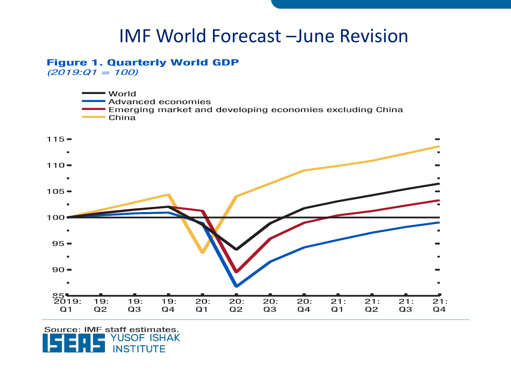#### IMF World Forecast –June Revision

#### **Figure 1. Quarterly World GDP**

 $(2019:Q1 = 100)$ 



Source: IMF staff estimates. YUSOF ISHAK **INSTITUTE**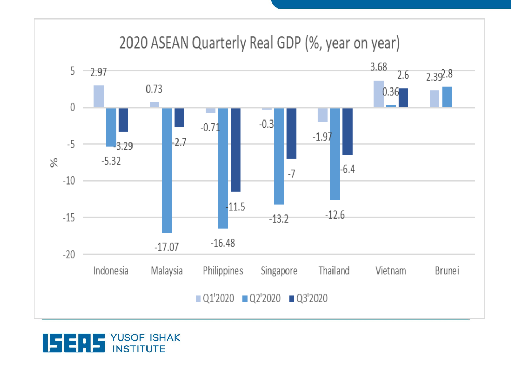#### 2020 ASEAN Quarterly Real GDP (%, year on year) 3.68  $5 -2.97$ 2.6  $2.39^{2.8}$ 0.73  $0.36$  $\overline{0}$  $-0.3$  $-0.71$  $-1.97$  $-2.7$  $-5$  $3.29$  $\aleph$  $-5.32$  $-6.4$  $-7$  $-10$  $-11.5$  $-12.6$  $-15$  $-13.2$  $-16.48$  $-17.07$  $-20$ Philippines Indonesia Malaysia Singapore Thailand Vietnam Brunei  $Q1'2020$   $Q2'2020$   $Q3'2020$

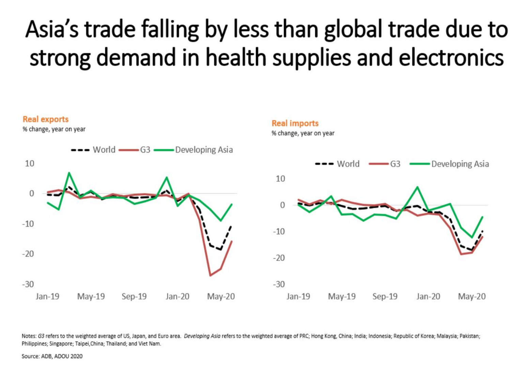# Asia's trade falling by less than global trade due to strong demand in health supplies and electronics



Notes: G3 refers to the weighted average of US, Japan, and Euro area. Developing Asia refers to the weighted average of PRC; Hong Kong, China; India; Indonesia; Republic of Korea; Malaysia; Pakistan; Philippines; Singapore; Taipei, China; Thailand; and Viet Nam.

Source: ADB, ADOU 2020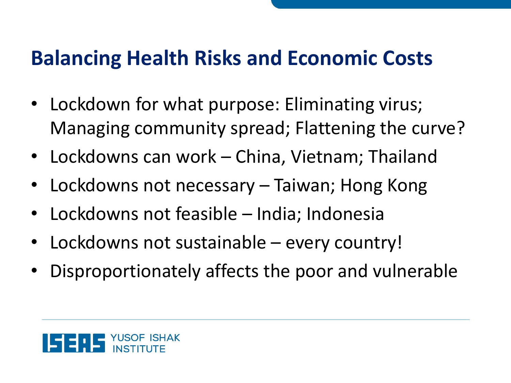### **Balancing Health Risks and Economic Costs**

- Lockdown for what purpose: Eliminating virus; Managing community spread; Flattening the curve?
- Lockdowns can work China, Vietnam; Thailand
- Lockdowns not necessary Taiwan; Hong Kong
- Lockdowns not feasible India; Indonesia
- Lockdowns not sustainable every country!
- Disproportionately affects the poor and vulnerable

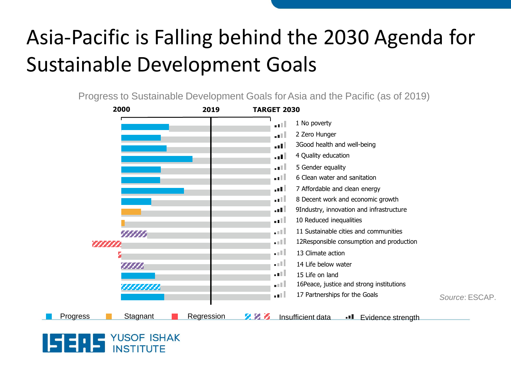## Asia-Pacific is Falling behind the 2030 Agenda for Sustainable Development Goals

Progress to Sustainable Development Goals for Asia and the Pacific (as of 2019)



#### **YUSOF ISHAK** 153.E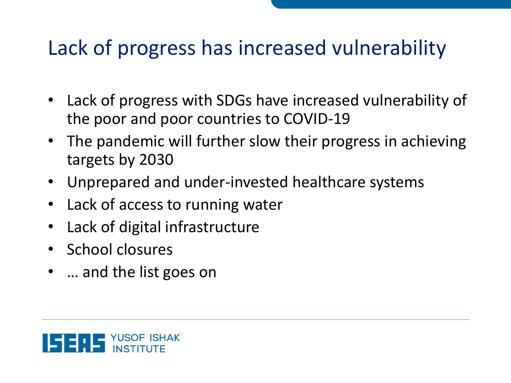### Lack of progress has increased vulnerability

- Lack of progress with SDGs have increased vulnerability of the poor and poor countries to COVID-19
- The pandemic will further slow their progress in achieving targets by 2030
- Unprepared and under-invested healthcare systems
- Lack of access to running water
- Lack of digital infrastructure
- School closures
- ... and the list goes on

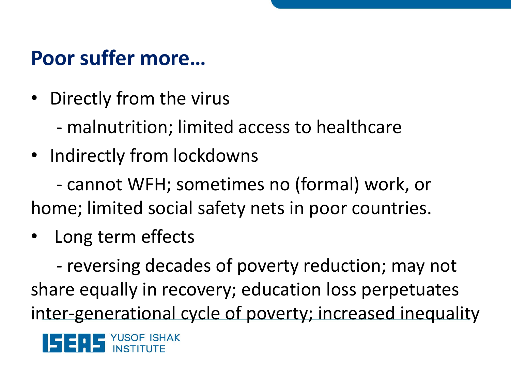### **Poor suffer more…**

- Directly from the virus
	- malnutrition; limited access to healthcare
- Indirectly from lockdowns

- cannot WFH; sometimes no (formal) work, or home; limited social safety nets in poor countries.

• Long term effects

- reversing decades of poverty reduction; may not share equally in recovery; education loss perpetuates inter-generational cycle of poverty; increased inequality

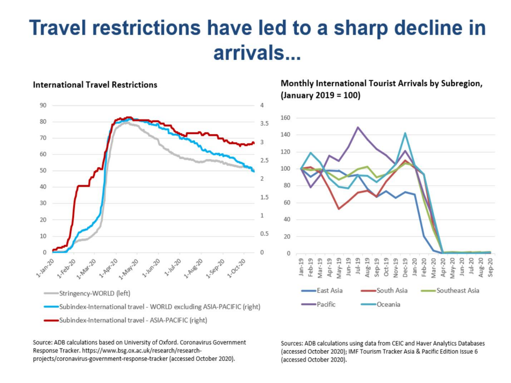### Travel restrictions have led to a sharp decline in arrivals...



**International Travel Restrictions** 

Source: ADB calculations based on University of Oxford. Coronavirus Government Response Tracker. https://www.bsg.ox.ac.uk/research/researchprojects/coronavirus-government-response-tracker (accessed October 2020).

Sources: ADB calculations using data from CEIC and Haver Analytics Databases (accessed October 2020); IMF Tourism Tracker Asia & Pacific Edition Issue 6 (accessed October 2020).

Monthly International Tourist Arrivals by Subregion,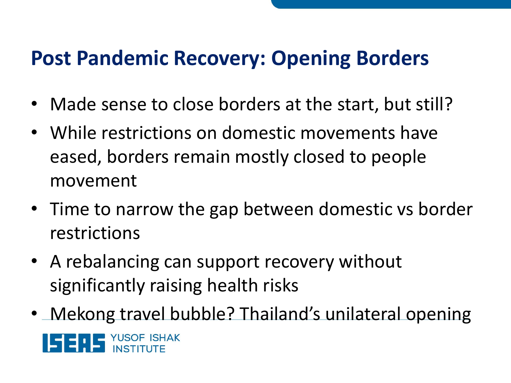### **Post Pandemic Recovery: Opening Borders**

- Made sense to close borders at the start, but still?
- While restrictions on domestic movements have eased, borders remain mostly closed to people movement
- Time to narrow the gap between domestic vs border restrictions
- A rebalancing can support recovery without significantly raising health risks
- Mekong travel bubble? Thailand's unilateral opening

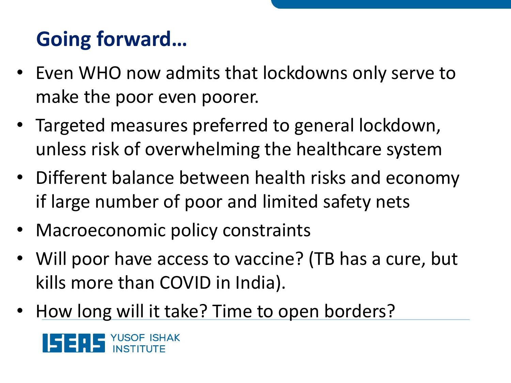# **Going forward…**

- Even WHO now admits that lockdowns only serve to make the poor even poorer.
- Targeted measures preferred to general lockdown, unless risk of overwhelming the healthcare system
- Different balance between health risks and economy if large number of poor and limited safety nets
- Macroeconomic policy constraints
- Will poor have access to vaccine? (TB has a cure, but kills more than COVID in India).
- How long will it take? Time to open borders?